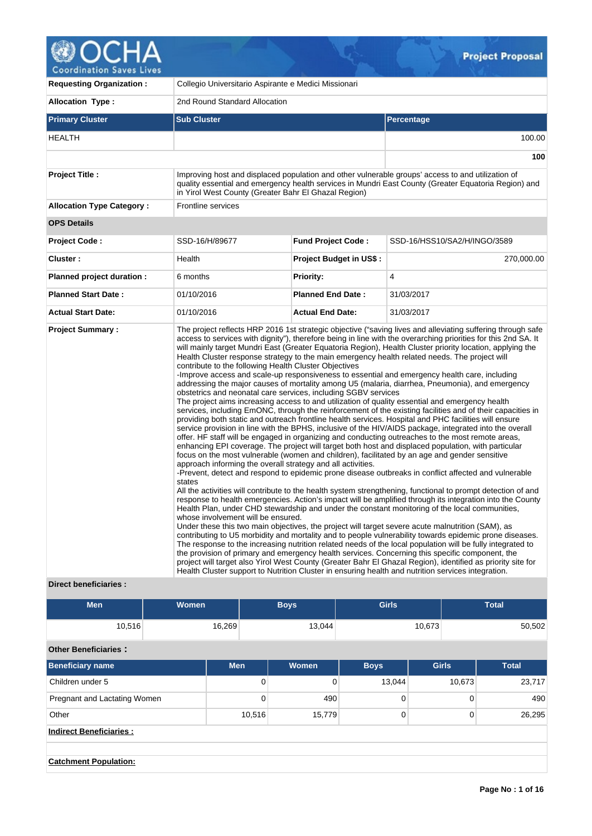

| <b>Requesting Organization:</b>                   | Collegio Universitario Aspirante e Medici Missionari                                                                                                                                                                                   |                                |                                                                                                                                                                                                                                                                                                                                                                                                                                                                                                                                                                                                                                                                                                                                                                                                                                                                                                                                                                                                                                                                                                                                                                                                                                                                                                                                                                                                                                                                                                                                                                                                                                                                                                                                                                                                                                                                                                                                                                                                                                                                                                                                                                                                                                                                                                                                                                                                                                                                                                |  |  |  |  |
|---------------------------------------------------|----------------------------------------------------------------------------------------------------------------------------------------------------------------------------------------------------------------------------------------|--------------------------------|------------------------------------------------------------------------------------------------------------------------------------------------------------------------------------------------------------------------------------------------------------------------------------------------------------------------------------------------------------------------------------------------------------------------------------------------------------------------------------------------------------------------------------------------------------------------------------------------------------------------------------------------------------------------------------------------------------------------------------------------------------------------------------------------------------------------------------------------------------------------------------------------------------------------------------------------------------------------------------------------------------------------------------------------------------------------------------------------------------------------------------------------------------------------------------------------------------------------------------------------------------------------------------------------------------------------------------------------------------------------------------------------------------------------------------------------------------------------------------------------------------------------------------------------------------------------------------------------------------------------------------------------------------------------------------------------------------------------------------------------------------------------------------------------------------------------------------------------------------------------------------------------------------------------------------------------------------------------------------------------------------------------------------------------------------------------------------------------------------------------------------------------------------------------------------------------------------------------------------------------------------------------------------------------------------------------------------------------------------------------------------------------------------------------------------------------------------------------------------------------|--|--|--|--|
| <b>Allocation Type:</b>                           | 2nd Round Standard Allocation                                                                                                                                                                                                          |                                |                                                                                                                                                                                                                                                                                                                                                                                                                                                                                                                                                                                                                                                                                                                                                                                                                                                                                                                                                                                                                                                                                                                                                                                                                                                                                                                                                                                                                                                                                                                                                                                                                                                                                                                                                                                                                                                                                                                                                                                                                                                                                                                                                                                                                                                                                                                                                                                                                                                                                                |  |  |  |  |
| <b>Primary Cluster</b>                            | <b>Sub Cluster</b>                                                                                                                                                                                                                     |                                | Percentage                                                                                                                                                                                                                                                                                                                                                                                                                                                                                                                                                                                                                                                                                                                                                                                                                                                                                                                                                                                                                                                                                                                                                                                                                                                                                                                                                                                                                                                                                                                                                                                                                                                                                                                                                                                                                                                                                                                                                                                                                                                                                                                                                                                                                                                                                                                                                                                                                                                                                     |  |  |  |  |
| <b>HEALTH</b>                                     |                                                                                                                                                                                                                                        |                                | 100.00                                                                                                                                                                                                                                                                                                                                                                                                                                                                                                                                                                                                                                                                                                                                                                                                                                                                                                                                                                                                                                                                                                                                                                                                                                                                                                                                                                                                                                                                                                                                                                                                                                                                                                                                                                                                                                                                                                                                                                                                                                                                                                                                                                                                                                                                                                                                                                                                                                                                                         |  |  |  |  |
|                                                   |                                                                                                                                                                                                                                        |                                | 100                                                                                                                                                                                                                                                                                                                                                                                                                                                                                                                                                                                                                                                                                                                                                                                                                                                                                                                                                                                                                                                                                                                                                                                                                                                                                                                                                                                                                                                                                                                                                                                                                                                                                                                                                                                                                                                                                                                                                                                                                                                                                                                                                                                                                                                                                                                                                                                                                                                                                            |  |  |  |  |
| <b>Project Title:</b>                             | in Yirol West County (Greater Bahr El Ghazal Region)                                                                                                                                                                                   |                                | Improving host and displaced population and other vulnerable groups' access to and utilization of<br>quality essential and emergency health services in Mundri East County (Greater Equatoria Region) and                                                                                                                                                                                                                                                                                                                                                                                                                                                                                                                                                                                                                                                                                                                                                                                                                                                                                                                                                                                                                                                                                                                                                                                                                                                                                                                                                                                                                                                                                                                                                                                                                                                                                                                                                                                                                                                                                                                                                                                                                                                                                                                                                                                                                                                                                      |  |  |  |  |
| <b>Allocation Type Category:</b>                  | <b>Frontline services</b>                                                                                                                                                                                                              |                                |                                                                                                                                                                                                                                                                                                                                                                                                                                                                                                                                                                                                                                                                                                                                                                                                                                                                                                                                                                                                                                                                                                                                                                                                                                                                                                                                                                                                                                                                                                                                                                                                                                                                                                                                                                                                                                                                                                                                                                                                                                                                                                                                                                                                                                                                                                                                                                                                                                                                                                |  |  |  |  |
| <b>OPS Details</b>                                |                                                                                                                                                                                                                                        |                                |                                                                                                                                                                                                                                                                                                                                                                                                                                                                                                                                                                                                                                                                                                                                                                                                                                                                                                                                                                                                                                                                                                                                                                                                                                                                                                                                                                                                                                                                                                                                                                                                                                                                                                                                                                                                                                                                                                                                                                                                                                                                                                                                                                                                                                                                                                                                                                                                                                                                                                |  |  |  |  |
| <b>Project Code:</b>                              | SSD-16/H/89677                                                                                                                                                                                                                         | <b>Fund Project Code:</b>      | SSD-16/HSS10/SA2/H/INGO/3589                                                                                                                                                                                                                                                                                                                                                                                                                                                                                                                                                                                                                                                                                                                                                                                                                                                                                                                                                                                                                                                                                                                                                                                                                                                                                                                                                                                                                                                                                                                                                                                                                                                                                                                                                                                                                                                                                                                                                                                                                                                                                                                                                                                                                                                                                                                                                                                                                                                                   |  |  |  |  |
| Cluster:                                          | Health                                                                                                                                                                                                                                 | <b>Project Budget in US\$:</b> | 270,000.00                                                                                                                                                                                                                                                                                                                                                                                                                                                                                                                                                                                                                                                                                                                                                                                                                                                                                                                                                                                                                                                                                                                                                                                                                                                                                                                                                                                                                                                                                                                                                                                                                                                                                                                                                                                                                                                                                                                                                                                                                                                                                                                                                                                                                                                                                                                                                                                                                                                                                     |  |  |  |  |
| Planned project duration :                        | 6 months                                                                                                                                                                                                                               | <b>Priority:</b>               | 4                                                                                                                                                                                                                                                                                                                                                                                                                                                                                                                                                                                                                                                                                                                                                                                                                                                                                                                                                                                                                                                                                                                                                                                                                                                                                                                                                                                                                                                                                                                                                                                                                                                                                                                                                                                                                                                                                                                                                                                                                                                                                                                                                                                                                                                                                                                                                                                                                                                                                              |  |  |  |  |
| <b>Planned Start Date:</b>                        | 01/10/2016                                                                                                                                                                                                                             | <b>Planned End Date:</b>       | 31/03/2017                                                                                                                                                                                                                                                                                                                                                                                                                                                                                                                                                                                                                                                                                                                                                                                                                                                                                                                                                                                                                                                                                                                                                                                                                                                                                                                                                                                                                                                                                                                                                                                                                                                                                                                                                                                                                                                                                                                                                                                                                                                                                                                                                                                                                                                                                                                                                                                                                                                                                     |  |  |  |  |
| <b>Actual Start Date:</b>                         | 01/10/2016                                                                                                                                                                                                                             | <b>Actual End Date:</b>        | 31/03/2017                                                                                                                                                                                                                                                                                                                                                                                                                                                                                                                                                                                                                                                                                                                                                                                                                                                                                                                                                                                                                                                                                                                                                                                                                                                                                                                                                                                                                                                                                                                                                                                                                                                                                                                                                                                                                                                                                                                                                                                                                                                                                                                                                                                                                                                                                                                                                                                                                                                                                     |  |  |  |  |
| <b>Project Summary:</b><br>Direct heneficiaries . | contribute to the following Health Cluster Objectives<br>obstetrics and neonatal care services, including SGBV services<br>approach informing the overall strategy and all activities.<br>states<br>whose involvement will be ensured. |                                | The project reflects HRP 2016 1st strategic objective ("saving lives and alleviating suffering through safe<br>access to services with dignity"), therefore being in line with the overarching priorities for this 2nd SA. It<br>will mainly target Mundri East (Greater Equatoria Region), Health Cluster priority location, applying the<br>Health Cluster response strategy to the main emergency health related needs. The project will<br>-Improve access and scale-up responsiveness to essential and emergency health care, including<br>addressing the major causes of mortality among U5 (malaria, diarrhea, Pneumonia), and emergency<br>The project aims increasing access to and utilization of quality essential and emergency health<br>services, including EmONC, through the reinforcement of the existing facilities and of their capacities in<br>providing both static and outreach frontline health services. Hospital and PHC facilities will ensure<br>service provision in line with the BPHS, inclusive of the HIV/AIDS package, integrated into the overall<br>offer. HF staff will be engaged in organizing and conducting outreaches to the most remote areas,<br>enhancing EPI coverage. The project will target both host and displaced population, with particular<br>focus on the most vulnerable (women and children), facilitated by an age and gender sensitive<br>-Prevent, detect and respond to epidemic prone disease outbreaks in conflict affected and vulnerable<br>All the activities will contribute to the health system strengthening, functional to prompt detection of and<br>response to health emergencies. Action's impact will be amplified through its integration into the County<br>Health Plan, under CHD stewardship and under the constant monitoring of the local communities,<br>Under these this two main objectives, the project will target severe acute malnutrition (SAM), as<br>contributing to U5 morbidity and mortality and to people vulnerability towards epidemic prone diseases.<br>The response to the increasing nutrition related needs of the local population will be fully integrated to<br>the provision of primary and emergency health services. Concerning this specific component, the<br>project will target also Yirol West County (Greater Bahr El Ghazal Region), identified as priority site for<br>Health Cluster support to Nutrition Cluster in ensuring health and nutrition services integration. |  |  |  |  |

| <b>Direct beneficiaries:</b> |  |
|------------------------------|--|
|                              |  |

| Men    | <b>Women</b> | <b>Boys</b> | <b>Girls</b> | <b>Total</b> |
|--------|--------------|-------------|--------------|--------------|
| 10,516 | 16,269       | 13,044      | 10,673       | 50,502       |

# **Other Beneficiaries :**

| Beneficiary name               | <b>Men</b> | Women  | <b>Boys</b> | <b>Girls</b> |        |  |
|--------------------------------|------------|--------|-------------|--------------|--------|--|
| Children under 5               | 0          |        | 13,044      | 10,673       | 23,717 |  |
| Pregnant and Lactating Women   | 0          | 490    | 0           | 0            | 490    |  |
| Other                          | 10,516     | 15,779 | 0           | 0            | 26,295 |  |
| <b>Indirect Beneficiaries:</b> |            |        |             |              |        |  |
|                                |            |        |             |              |        |  |
| <b>Catchment Population:</b>   |            |        |             |              |        |  |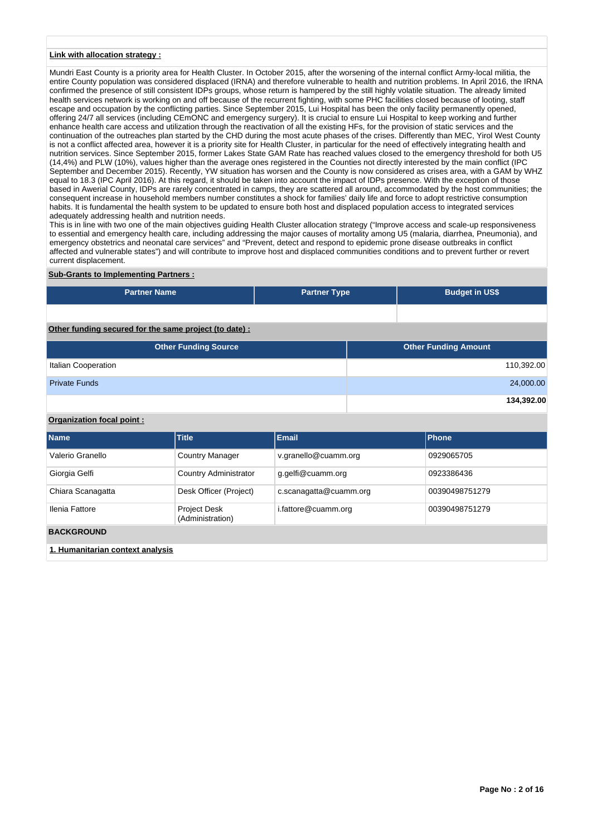#### **Link with allocation strategy :**

Mundri East County is a priority area for Health Cluster. In October 2015, after the worsening of the internal conflict Army-local militia, the entire County population was considered displaced (IRNA) and therefore vulnerable to health and nutrition problems. In April 2016, the IRNA confirmed the presence of still consistent IDPs groups, whose return is hampered by the still highly volatile situation. The already limited health services network is working on and off because of the recurrent fighting, with some PHC facilities closed because of looting, staff escape and occupation by the conflicting parties. Since September 2015, Lui Hospital has been the only facility permanently opened, offering 24/7 all services (including CEmONC and emergency surgery). It is crucial to ensure Lui Hospital to keep working and further enhance health care access and utilization through the reactivation of all the existing HFs, for the provision of static services and the continuation of the outreaches plan started by the CHD during the most acute phases of the crises. Differently than MEC, Yirol West County is not a conflict affected area, however it is a priority site for Health Cluster, in particular for the need of effectively integrating health and nutrition services. Since September 2015, former Lakes State GAM Rate has reached values closed to the emergency threshold for both U5 (14,4%) and PLW (10%), values higher than the average ones registered in the Counties not directly interested by the main conflict (IPC September and December 2015). Recently, YW situation has worsen and the County is now considered as crises area, with a GAM by WHZ equal to 18.3 (IPC April 2016). At this regard, it should be taken into account the impact of IDPs presence. With the exception of those based in Awerial County, IDPs are rarely concentrated in camps, they are scattered all around, accommodated by the host communities; the consequent increase in household members number constitutes a shock for families' daily life and force to adopt restrictive consumption habits. It is fundamental the health system to be updated to ensure both host and displaced population access to integrated services adequately addressing health and nutrition needs.

This is in line with two one of the main objectives guiding Health Cluster allocation strategy ("Improve access and scale-up responsiveness to essential and emergency health care, including addressing the major causes of mortality among U5 (malaria, diarrhea, Pneumonia), and emergency obstetrics and neonatal care services" and "Prevent, detect and respond to epidemic prone disease outbreaks in conflict affected and vulnerable states") and will contribute to improve host and displaced communities conditions and to prevent further or revert current displacement.

## **Sub-Grants to Implementing Partners :**

| <b>Partner Name</b>                                   | <b>Partner Type</b> | <b>Budget in US\$</b>       |            |
|-------------------------------------------------------|---------------------|-----------------------------|------------|
|                                                       |                     |                             |            |
| Other funding secured for the same project (to date): |                     |                             |            |
| <b>Other Funding Source</b>                           |                     | <b>Other Funding Amount</b> |            |
| Italian Cooperation                                   |                     |                             | 110,392.00 |
| <b>Private Funds</b>                                  |                     |                             | 24,000.00  |
|                                                       |                     |                             | 134,392.00 |

## **Organization focal point :**

| <b>Name</b>                      | <b>Title</b>                            | <b>Email</b>           | Phone          |
|----------------------------------|-----------------------------------------|------------------------|----------------|
| Valerio Granello                 | <b>Country Manager</b>                  | v.granello@cuamm.org   | 0929065705     |
| Giorgia Gelfi                    | <b>Country Administrator</b>            | g.gelfi@cuamm.org      | 0923386436     |
| Chiara Scanagatta                | Desk Officer (Project)                  | c.scanagatta@cuamm.org | 00390498751279 |
| Ilenia Fattore                   | <b>Project Desk</b><br>(Administration) | i.fattore@cuamm.org    | 00390498751279 |
| <b>BACKGROUND</b>                |                                         |                        |                |
| 1. Humanitarian context analysis |                                         |                        |                |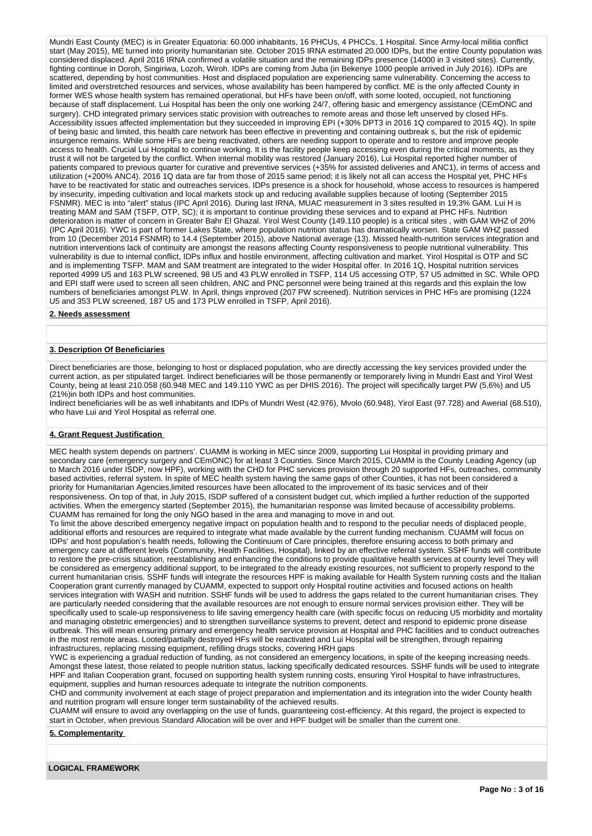Mundri East County (MEC) is in Greater Equatoria: 60.000 inhabitants, 16 PHCUs, 4 PHCCs, 1 Hospital. Since Army-local militia conflict start (May 2015), ME turned into priority humanitarian site. October 2015 IRNA estimated 20.000 IDPs, but the entire County population was considered displaced. April 2016 IRNA confirmed a volatile situation and the remaining IDPs presence (14000 in 3 visited sites). Currently, fighting continue in Doroh, Singiriwa, Lozoh, Wiroh. IDPs are coming from Juba (in Bekenye 1000 people arrived in July 2016). IDPs are scattered, depending by host communities. Host and displaced population are experiencing same vulnerability. Concerning the access to limited and overstretched resources and services, whose availability has been hampered by conflict. ME is the only affected County in former WES whose health system has remained operational, but HFs have been on/off, with some looted, occupied, not functioning because of staff displacement. Lui Hospital has been the only one working 24/7, offering basic and emergency assistance (CEmONC and surgery). CHD integrated primary services static provision with outreaches to remote areas and those left unserved by closed HFs. Accessibility issues affected implementation but they succeeded in improving EPI (+30% DPT3 in 2016 1Q compared to 2015 4Q). In spite of being basic and limited, this health care network has been effective in preventing and containing outbreak s, but the risk of epidemic insurgence remains. While some HFs are being reactivated, others are needing support to operate and to restore and improve people access to health. Crucial Lui Hospital to continue working. It is the facility people keep accessing even during the critical moments, as they trust it will not be targeted by the conflict. When internal mobility was restored (January 2016), Lui Hospital reported higher number of patients compared to previous quarter for curative and preventive services (+35% for assisted deliveries and ANC1), in terms of access and utilization (+200% ANC4). 2016 1Q data are far from those of 2015 same period; it is likely not all can access the Hospital yet, PHC HFs have to be reactivated for static and outreaches services. IDPs presence is a shock for household, whose access to resources is hampered by insecurity, impeding cultivation and local markets stock up and reducing available supplies because of looting (September 2015 FSNMR). MEC is into "alert" status (IPC April 2016). During last IRNA, MUAC measurement in 3 sites resulted in 19,3% GAM. Lui H is treating MAM and SAM (TSFP, OTP, SC); it is important to continue providing these services and to expand at PHC HFs. Nutrition deterioration is matter of concern in Greater Bahr El Ghazal. Yirol West County (149.110 people) is a critical sites , with GAM WHZ of 20% (IPC April 2016). YWC is part of former Lakes State, where population nutrition status has dramatically worsen. State GAM WHZ passed from 10 (December 2014 FSNMR) to 14.4 (September 2015), above National average (13). Missed health-nutrition services integration and nutrition interventions lack of continuity are amongst the reasons affecting County responsiveness to people nutritional vulnerability. This vulnerability is due to internal conflict, IDPs influx and hostile environment, affecting cultivation and market. Yirol Hospital is OTP and SC and is implementing TSFP. MAM and SAM treatment are integrated to the wider Hospital offer. In 2016 1Q, Hospital nutrition services reported 4999 U5 and 163 PLW screened, 98 U5 and 43 PLW enrolled in TSFP, 114 U5 accessing OTP, 57 U5 admitted in SC. While OPD and EPI staff were used to screen all seen children, ANC and PNC personnel were being trained at this regards and this explain the low numbers of beneficiaries amongst PLW. In April, things improved (207 PW screened). Nutrition services in PHC HFs are promising (1224 U5 and 353 PLW screened, 187 U5 and 173 PLW enrolled in TSFP, April 2016).

#### **2. Needs assessment**

#### **3. Description Of Beneficiaries**

Direct beneficiaries are those, belonging to host or displaced population, who are directly accessing the key services provided under the current action, as per stipulated target. Indirect beneficiaries will be those permanently or temporarely living in Mundri East and Yirol West County, being at least 210.058 (60.948 MEC and 149.110 YWC as per DHIS 2016). The project will specifically target PW (5,6%) and U5 (21%)in both IDPs and host communities.

Indirect beneficiaries will be as well inhabitants and IDPs of Mundri West (42.976), Mvolo (60.948), Yirol East (97.728) and Awerial (68.510), who have Lui and Yirol Hospital as referral one.

#### **4. Grant Request Justification**

MEC health system depends on partners'. CUAMM is working in MEC since 2009, supporting Lui Hospital in providing primary and secondary care (emergency surgery and CEmONC) for at least 3 Counties. Since March 2015, CUAMM is the County Leading Agency (up to March 2016 under ISDP, now HPF), working with the CHD for PHC services provision through 20 supported HFs, outreaches, community based activities, referral system. In spite of MEC health system having the same gaps of other Counties, it has not been considered a priority for Humanitarian Agencies,limited resources have been allocated to the improvement of its basic services and of their responsiveness. On top of that, in July 2015, ISDP suffered of a consistent budget cut, which implied a further reduction of the supported activities. When the emergency started (September 2015), the humanitarian response was limited because of accessibility problems. CUAMM has remained for long the only NGO based in the area and managing to move in and out.

To limit the above described emergency negative impact on population health and to respond to the peculiar needs of displaced people, additional efforts and resources are required to integrate what made available by the current funding mechanism. CUAMM will focus on IDPs' and host population's health needs, following the Continuum of Care principles, therefore ensuring access to both primary and emergency care at different levels (Community, Health Facilities, Hospital), linked by an effective referral system. SSHF funds will contribute to restore the pre-crisis situation, reestablishing and enhancing the conditions to provide qualitative health services at county level They will be considered as emergency additional support, to be integrated to the already existing resources, not sufficient to properly respond to the current humanitarian crisis. SSHF funds will integrate the resources HPF is making available for Health System running costs and the Italian Cooperation grant currently managed by CUAMM, expected to support only Hospital routine activities and focused actions on health services integration with WASH and nutrition. SSHF funds will be used to address the gaps related to the current humanitarian crises. They are particularly needed considering that the available resources are not enough to ensure normal services provision either. They will be specifically used to scale-up responsiveness to life saving emergency health care (with specific focus on reducing U5 morbidity and mortality and managing obstetric emergencies) and to strengthen surveillance systems to prevent, detect and respond to epidemic prone disease outbreak. This will mean ensuring primary and emergency health service provision at Hospital and PHC facilities and to conduct outreaches in the most remote areas. Looted/partially destroyed HFs will be reactivated and Lui Hospital will be strengthen, through repairing infrastructures, replacing missing equipment, refilling drugs stocks, covering HRH gaps

YWC is experiencing a gradual reduction of funding, as not considered an emergency locations, in spite of the keeping increasing needs. Amongst these latest, those related to people nutrition status, lacking specifically dedicated resources. SSHF funds will be used to integrate HPF and Italian Cooperation grant, focused on supporting health system running costs, ensuring Yirol Hospital to have infrastructures, equipment, supplies and human resources adequate to integrate the nutrition components.

CHD and community involvement at each stage of project preparation and implementation and its integration into the wider County health and nutrition program will ensure longer term sustainability of the achieved results.

CUAMM will ensure to avoid any overlapping on the use of funds, guaranteeing cost-efficiency. At this regard, the project is expected to start in October, when previous Standard Allocation will be over and HPF budget will be smaller than the current one.

## **5. Complementarity**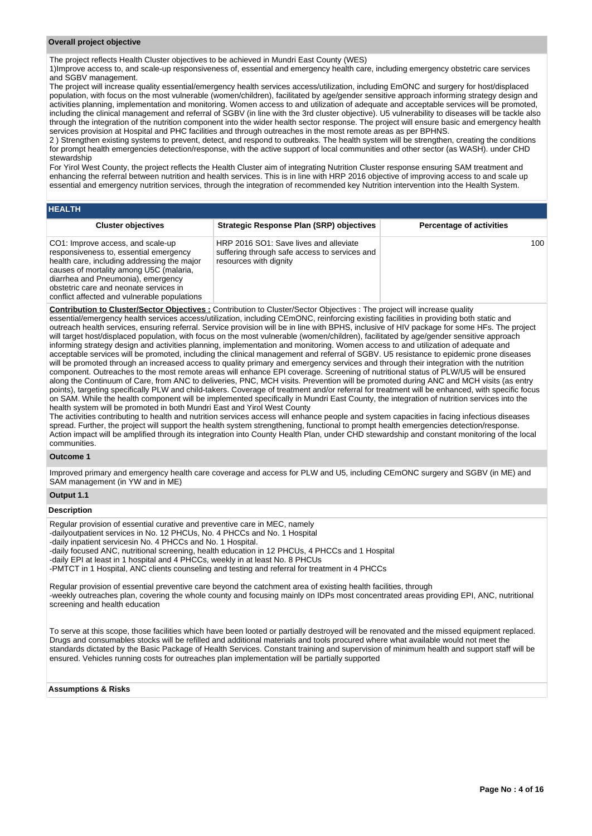#### **Overall project objective**

The project reflects Health Cluster objectives to be achieved in Mundri East County (WES)

1)Improve access to, and scale-up responsiveness of, essential and emergency health care, including emergency obstetric care services and SGBV management.

The project will increase quality essential/emergency health services access/utilization, including EmONC and surgery for host/displaced population, with focus on the most vulnerable (women/children), facilitated by age/gender sensitive approach informing strategy design and activities planning, implementation and monitoring. Women access to and utilization of adequate and acceptable services will be promoted, including the clinical management and referral of SGBV (in line with the 3rd cluster objective). U5 vulnerability to diseases will be tackle also through the integration of the nutrition component into the wider health sector response. The project will ensure basic and emergency health services provision at Hospital and PHC facilities and through outreaches in the most remote areas as per BPHNS.

2 ) Strengthen existing systems to prevent, detect, and respond to outbreaks. The health system will be strengthen, creating the conditions for prompt health emergencies detection/response, with the active support of local communities and other sector (as WASH). under CHD stewardship

For Yirol West County, the project reflects the Health Cluster aim of integrating Nutrition Cluster response ensuring SAM treatment and enhancing the referral between nutrition and health services. This is in line with HRP 2016 objective of improving access to and scale up essential and emergency nutrition services, through the integration of recommended key Nutrition intervention into the Health System.

| <b>HEALTH</b>                                                                                                                                                                                                                                                                                         |                                                                                                                   |                                 |
|-------------------------------------------------------------------------------------------------------------------------------------------------------------------------------------------------------------------------------------------------------------------------------------------------------|-------------------------------------------------------------------------------------------------------------------|---------------------------------|
| <b>Cluster objectives</b>                                                                                                                                                                                                                                                                             | Strategic Response Plan (SRP) objectives                                                                          | <b>Percentage of activities</b> |
| CO1: Improve access, and scale-up<br>responsiveness to, essential emergency<br>health care, including addressing the major<br>causes of mortality among U5C (malaria,<br>diarrhea and Pneumonia), emergency<br>obstetric care and neonate services in<br>conflict affected and vulnerable populations | HRP 2016 SO1: Save lives and alleviate<br>suffering through safe access to services and<br>resources with dignity | 100                             |

**Contribution to Cluster/Sector Objectives :** Contribution to Cluster/Sector Objectives : The project will increase quality essential/emergency health services access/utilization, including CEmONC, reinforcing existing facilities in providing both static and outreach health services, ensuring referral. Service provision will be in line with BPHS, inclusive of HIV package for some HFs. The project will target host/displaced population, with focus on the most vulnerable (women/children), facilitated by age/gender sensitive approach informing strategy design and activities planning, implementation and monitoring. Women access to and utilization of adequate and acceptable services will be promoted, including the clinical management and referral of SGBV. U5 resistance to epidemic prone diseases will be promoted through an increased access to quality primary and emergency services and through their integration with the nutrition component. Outreaches to the most remote areas will enhance EPI coverage. Screening of nutritional status of PLW/U5 will be ensured along the Continuum of Care, from ANC to deliveries, PNC, MCH visits. Prevention will be promoted during ANC and MCH visits (as entry points), targeting specifically PLW and child-takers. Coverage of treatment and/or referral for treatment will be enhanced, with specific focus on SAM. While the health component will be implemented specifically in Mundri East County, the integration of nutrition services into the health system will be promoted in both Mundri East and Yirol West County

The activities contributing to health and nutrition services access will enhance people and system capacities in facing infectious diseases spread. Further, the project will support the health system strengthening, functional to prompt health emergencies detection/response. Action impact will be amplified through its integration into County Health Plan, under CHD stewardship and constant monitoring of the local communities.

#### **Outcome 1**

Improved primary and emergency health care coverage and access for PLW and U5, including CEmONC surgery and SGBV (in ME) and SAM management (in YW and in ME)

## **Output 1.1**

#### **Description**

Regular provision of essential curative and preventive care in MEC, namely -dailyoutpatient services in No. 12 PHCUs, No. 4 PHCCs and No. 1 Hospital -daily inpatient servicesin No. 4 PHCCs and No. 1 Hospital. -daily focused ANC, nutritional screening, health education in 12 PHCUs, 4 PHCCs and 1 Hospital -daily EPI at least in 1 hospital and 4 PHCCs, weekly in at least No. 8 PHCUs -PMTCT in 1 Hospital, ANC clients counseling and testing and referral for treatment in 4 PHCCs

Regular provision of essential preventive care beyond the catchment area of existing health facilities, through -weekly outreaches plan, covering the whole county and focusing mainly on IDPs most concentrated areas providing EPI, ANC, nutritional screening and health education

To serve at this scope, those facilities which have been looted or partially destroyed will be renovated and the missed equipment replaced. Drugs and consumables stocks will be refilled and additional materials and tools procured where what available would not meet the standards dictated by the Basic Package of Health Services. Constant training and supervision of minimum health and support staff will be ensured. Vehicles running costs for outreaches plan implementation will be partially supported

## **Assumptions & Risks**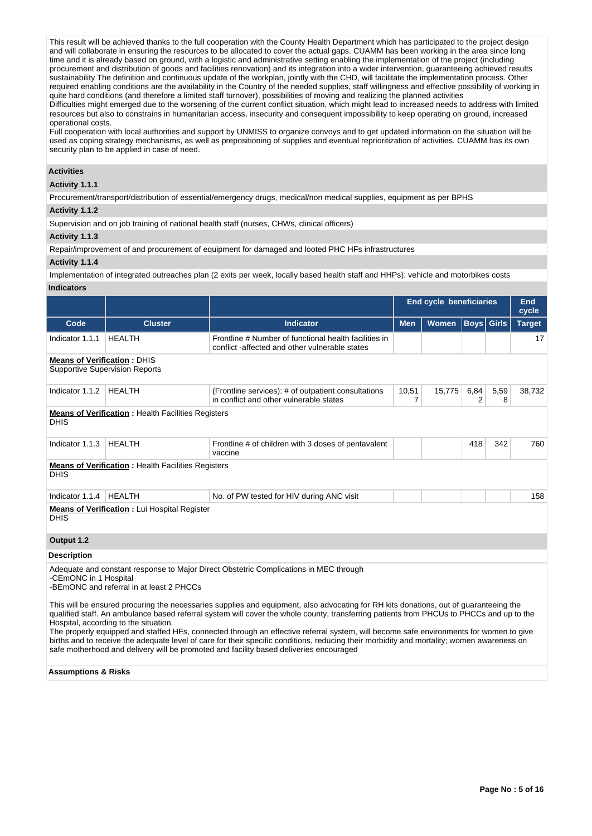This result will be achieved thanks to the full cooperation with the County Health Department which has participated to the project design and will collaborate in ensuring the resources to be allocated to cover the actual gaps. CUAMM has been working in the area since long time and it is already based on ground, with a logistic and administrative setting enabling the implementation of the project (including procurement and distribution of goods and facilities renovation) and its integration into a wider intervention, guaranteeing achieved results sustainability The definition and continuous update of the workplan, jointly with the CHD, will facilitate the implementation process. Other required enabling conditions are the availability in the Country of the needed supplies, staff willingness and effective possibility of working in quite hard conditions (and therefore a limited staff turnover), possibilities of moving and realizing the planned activities Difficulties might emerged due to the worsening of the current conflict situation, which might lead to increased needs to address with limited

resources but also to constrains in humanitarian access, insecurity and consequent impossibility to keep operating on ground, increased operational costs.

Full cooperation with local authorities and support by UNMISS to organize convoys and to get updated information on the situation will be used as coping strategy mechanisms, as well as prepositioning of supplies and eventual reprioritization of activities. CUAMM has its own security plan to be applied in case of need.

## **Activities**

## **Activity 1.1.1**

Procurement/transport/distribution of essential/emergency drugs, medical/non medical supplies, equipment as per BPHS

## **Activity 1.1.2**

Supervision and on job training of national health staff (nurses, CHWs, clinical officers)

#### **Activity 1.1.3**

Repair/improvement of and procurement of equipment for damaged and looted PHC HFs infrastructures

#### **Activity 1.1.4**

Implementation of integrated outreaches plan (2 exits per week, locally based health staff and HHPs): vehicle and motorbikes costs

## **Indicators**

|                                                                                                                                                                                                                                                                                                                                                                                |                                                                                                                                                                                                                                                                                                                            |                                                                                                        | <b>End cycle beneficiaries</b> |              |             |              | <b>End</b><br>cycle |  |
|--------------------------------------------------------------------------------------------------------------------------------------------------------------------------------------------------------------------------------------------------------------------------------------------------------------------------------------------------------------------------------|----------------------------------------------------------------------------------------------------------------------------------------------------------------------------------------------------------------------------------------------------------------------------------------------------------------------------|--------------------------------------------------------------------------------------------------------|--------------------------------|--------------|-------------|--------------|---------------------|--|
| Code                                                                                                                                                                                                                                                                                                                                                                           | <b>Cluster</b>                                                                                                                                                                                                                                                                                                             | <b>Indicator</b>                                                                                       | <b>Men</b>                     | <b>Women</b> | <b>Boys</b> | <b>Girls</b> | <b>Target</b>       |  |
| Indicator 1.1.1                                                                                                                                                                                                                                                                                                                                                                | <b>HEALTH</b>                                                                                                                                                                                                                                                                                                              | Frontline # Number of functional health facilities in<br>conflict-affected and other vulnerable states |                                |              |             |              | 17                  |  |
| <b>Means of Verification: DHIS</b>                                                                                                                                                                                                                                                                                                                                             | <b>Supportive Supervision Reports</b>                                                                                                                                                                                                                                                                                      |                                                                                                        |                                |              |             |              |                     |  |
| Indicator 1.1.2                                                                                                                                                                                                                                                                                                                                                                | <b>HEALTH</b>                                                                                                                                                                                                                                                                                                              | (Frontline services): # of outpatient consultations<br>in conflict and other vulnerable states         | 10,51<br>7                     | 15,775       | 6,84<br>2   | 5,59<br>8    | 38,732              |  |
| <b>DHIS</b>                                                                                                                                                                                                                                                                                                                                                                    | <b>Means of Verification:</b> Health Facilities Registers                                                                                                                                                                                                                                                                  |                                                                                                        |                                |              |             |              |                     |  |
| Indicator 1.1.3                                                                                                                                                                                                                                                                                                                                                                | <b>HEALTH</b>                                                                                                                                                                                                                                                                                                              | Frontline # of children with 3 doses of pentavalent<br>vaccine                                         |                                |              | 418         | 342          | 760                 |  |
| <b>DHIS</b>                                                                                                                                                                                                                                                                                                                                                                    | <b>Means of Verification:</b> Health Facilities Registers                                                                                                                                                                                                                                                                  |                                                                                                        |                                |              |             |              |                     |  |
| Indicator 1.1.4                                                                                                                                                                                                                                                                                                                                                                | <b>HEALTH</b>                                                                                                                                                                                                                                                                                                              | No. of PW tested for HIV during ANC visit                                                              |                                |              |             |              | 158                 |  |
| <b>DHIS</b>                                                                                                                                                                                                                                                                                                                                                                    | <b>Means of Verification:</b> Lui Hospital Register                                                                                                                                                                                                                                                                        |                                                                                                        |                                |              |             |              |                     |  |
| Output 1.2                                                                                                                                                                                                                                                                                                                                                                     |                                                                                                                                                                                                                                                                                                                            |                                                                                                        |                                |              |             |              |                     |  |
| <b>Description</b>                                                                                                                                                                                                                                                                                                                                                             |                                                                                                                                                                                                                                                                                                                            |                                                                                                        |                                |              |             |              |                     |  |
| -CEmONC in 1 Hospital                                                                                                                                                                                                                                                                                                                                                          | -BEmONC and referral in at least 2 PHCCs                                                                                                                                                                                                                                                                                   | Adequate and constant response to Major Direct Obstetric Complications in MEC through                  |                                |              |             |              |                     |  |
|                                                                                                                                                                                                                                                                                                                                                                                | This will be ensured procuring the necessaries supplies and equipment, also advocating for RH kits donations, out of guaranteeing the<br>qualified staff. An ambulance based referral system will cover the whole county, transferring patients from PHCUs to PHCCs and up to the<br>Hospital, according to the situation. |                                                                                                        |                                |              |             |              |                     |  |
| The properly equipped and staffed HFs, connected through an effective referral system, will become safe environments for women to give<br>births and to receive the adequate level of care for their specific conditions, reducing their morbidity and mortality; women awareness on<br>safe motherhood and delivery will be promoted and facility based deliveries encouraged |                                                                                                                                                                                                                                                                                                                            |                                                                                                        |                                |              |             |              |                     |  |
| Accumptions & Dicks                                                                                                                                                                                                                                                                                                                                                            |                                                                                                                                                                                                                                                                                                                            |                                                                                                        |                                |              |             |              |                     |  |

#### **Assumptions & Risks**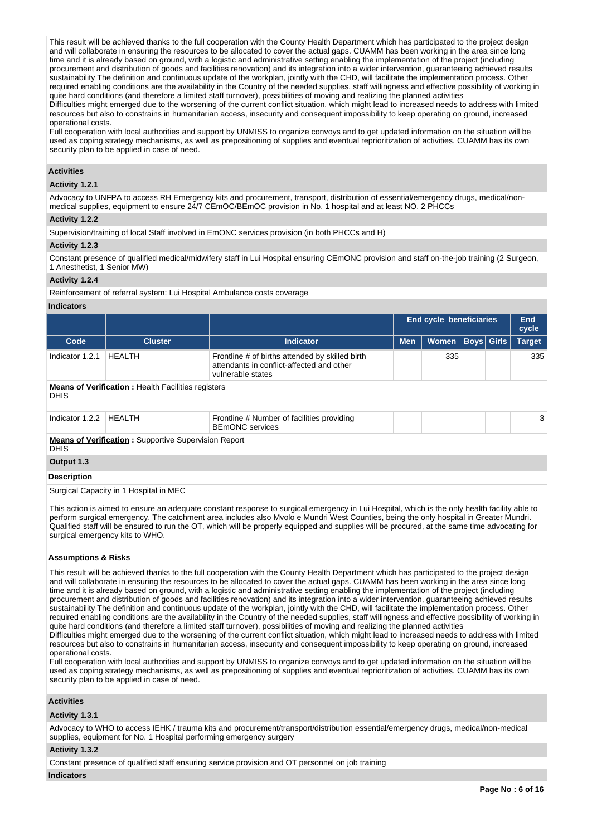This result will be achieved thanks to the full cooperation with the County Health Department which has participated to the project design and will collaborate in ensuring the resources to be allocated to cover the actual gaps. CUAMM has been working in the area since long time and it is already based on ground, with a logistic and administrative setting enabling the implementation of the project (including procurement and distribution of goods and facilities renovation) and its integration into a wider intervention, guaranteeing achieved results sustainability The definition and continuous update of the workplan, jointly with the CHD, will facilitate the implementation process. Other required enabling conditions are the availability in the Country of the needed supplies, staff willingness and effective possibility of working in quite hard conditions (and therefore a limited staff turnover), possibilities of moving and realizing the planned activities Difficulties might emerged due to the worsening of the current conflict situation, which might lead to increased needs to address with limited

resources but also to constrains in humanitarian access, insecurity and consequent impossibility to keep operating on ground, increased operational costs.

Full cooperation with local authorities and support by UNMISS to organize convoys and to get updated information on the situation will be used as coping strategy mechanisms, as well as prepositioning of supplies and eventual reprioritization of activities. CUAMM has its own security plan to be applied in case of need.

## **Activities**

## **Activity 1.2.1**

Advocacy to UNFPA to access RH Emergency kits and procurement, transport, distribution of essential/emergency drugs, medical/nonmedical supplies, equipment to ensure 24/7 CEmOC/BEmOC provision in No. 1 hospital and at least NO. 2 PHCCs

## **Activity 1.2.2**

Supervision/training of local Staff involved in EmONC services provision (in both PHCCs and H)

## **Activity 1.2.3**

Constant presence of qualified medical/midwifery staff in Lui Hospital ensuring CEmONC provision and staff on-the-job training (2 Surgeon, 1 Anesthetist, 1 Senior MW)

## **Activity 1.2.4**

Reinforcement of referral system: Lui Hospital Ambulance costs coverage

## **Indicators**

|                 |                                                             |                                                                                                                   | <b>End cycle beneficiaries</b> |              |                   |  | <b>End</b><br>cycle |  |  |
|-----------------|-------------------------------------------------------------|-------------------------------------------------------------------------------------------------------------------|--------------------------------|--------------|-------------------|--|---------------------|--|--|
| Code            | <b>Cluster</b>                                              | <b>Indicator</b>                                                                                                  | <b>Men</b>                     | <b>Women</b> | <b>Boys Girls</b> |  | <b>Target</b>       |  |  |
| Indicator 1.2.1 | HEALTH                                                      | Frontline # of births attended by skilled birth<br>attendants in conflict-affected and other<br>vulnerable states |                                | 335          |                   |  | 335                 |  |  |
| <b>DHIS</b>     | <b>Means of Verification : Health Facilities registers</b>  |                                                                                                                   |                                |              |                   |  |                     |  |  |
| Indicator 1.2.2 | HEALTH                                                      | Frontline # Number of facilities providing<br><b>BEMONC</b> services                                              |                                |              |                   |  | 3                   |  |  |
| <b>DHIS</b>     | <b>Means of Verification:</b> Supportive Supervision Report |                                                                                                                   |                                |              |                   |  |                     |  |  |
| Output 1.3      |                                                             |                                                                                                                   |                                |              |                   |  |                     |  |  |

## **Description**

Surgical Capacity in 1 Hospital in MEC

This action is aimed to ensure an adequate constant response to surgical emergency in Lui Hospital, which is the only health facility able to perform surgical emergency. The catchment area includes also Mvolo e Mundri West Counties, being the only hospital in Greater Mundri. Qualified staff will be ensured to run the OT, which will be properly equipped and supplies will be procured, at the same time advocating for surgical emergency kits to WHO.

#### **Assumptions & Risks**

This result will be achieved thanks to the full cooperation with the County Health Department which has participated to the project design and will collaborate in ensuring the resources to be allocated to cover the actual gaps. CUAMM has been working in the area since long time and it is already based on ground, with a logistic and administrative setting enabling the implementation of the project (including procurement and distribution of goods and facilities renovation) and its integration into a wider intervention, guaranteeing achieved results sustainability The definition and continuous update of the workplan, jointly with the CHD, will facilitate the implementation process. Other required enabling conditions are the availability in the Country of the needed supplies, staff willingness and effective possibility of working in quite hard conditions (and therefore a limited staff turnover), possibilities of moving and realizing the planned activities Difficulties might emerged due to the worsening of the current conflict situation, which might lead to increased needs to address with limited resources but also to constrains in humanitarian access, insecurity and consequent impossibility to keep operating on ground, increased

operational costs. Full cooperation with local authorities and support by UNMISS to organize convoys and to get updated information on the situation will be used as coping strategy mechanisms, as well as prepositioning of supplies and eventual reprioritization of activities. CUAMM has its own security plan to be applied in case of need.

## **Activities**

#### **Activity 1.3.1**

Advocacy to WHO to access IEHK / trauma kits and procurement/transport/distribution essential/emergency drugs, medical/non-medical supplies, equipment for No. 1 Hospital performing emergency surgery

#### **Activity 1.3.2**

Constant presence of qualified staff ensuring service provision and OT personnel on job training

#### **Indicators**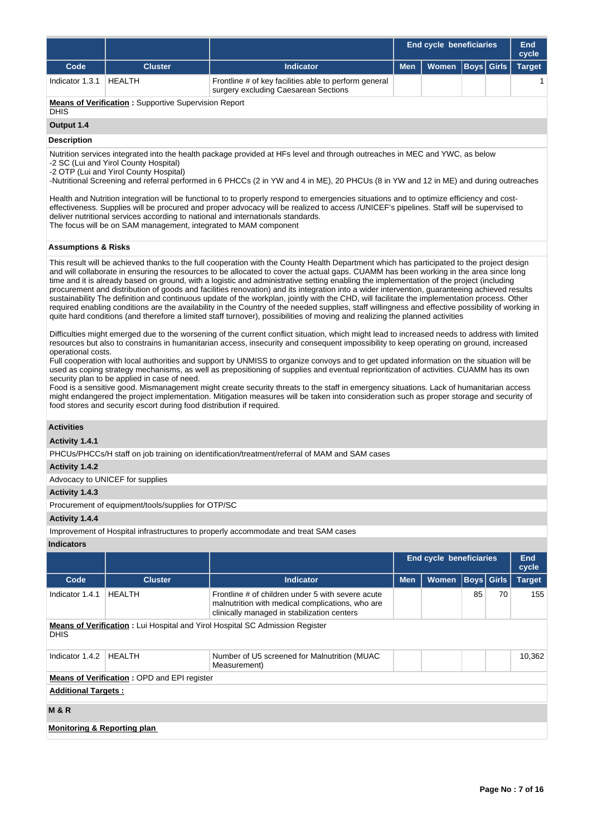|                 |                |                                                                                               | <b>End cycle beneficiaries</b>      |  |  |  |
|-----------------|----------------|-----------------------------------------------------------------------------------------------|-------------------------------------|--|--|--|
| Code            | <b>Cluster</b> | <b>Indicator</b>                                                                              | Men   Women   Boys   Girls   Target |  |  |  |
| Indicator 1.3.1 | HEALTH         | Frontline # of key facilities able to perform general<br>surgery excluding Caesarean Sections |                                     |  |  |  |

**Means of Verification :** Supportive Supervision Report **DHIS** 

# **Output 1.4**

## **Description**

Nutrition services integrated into the health package provided at HFs level and through outreaches in MEC and YWC, as below

-2 SC (Lui and Yirol County Hospital)

-2 OTP (Lui and Yirol County Hospital)

-Nutritional Screening and referral performed in 6 PHCCs (2 in YW and 4 in ME), 20 PHCUs (8 in YW and 12 in ME) and during outreaches

Health and Nutrition integration will be functional to to properly respond to emergencies situations and to optimize efficiency and costeffectiveness. Supplies will be procured and proper advocacy will be realized to access /UNICEF's pipelines. Staff will be supervised to deliver nutritional services according to national and internationals standards. The focus will be on SAM management, integrated to MAM component

## **Assumptions & Risks**

This result will be achieved thanks to the full cooperation with the County Health Department which has participated to the project design and will collaborate in ensuring the resources to be allocated to cover the actual gaps. CUAMM has been working in the area since long time and it is already based on ground, with a logistic and administrative setting enabling the implementation of the project (including procurement and distribution of goods and facilities renovation) and its integration into a wider intervention, guaranteeing achieved results sustainability The definition and continuous update of the workplan, jointly with the CHD, will facilitate the implementation process. Other required enabling conditions are the availability in the Country of the needed supplies, staff willingness and effective possibility of working in quite hard conditions (and therefore a limited staff turnover), possibilities of moving and realizing the planned activities

Difficulties might emerged due to the worsening of the current conflict situation, which might lead to increased needs to address with limited resources but also to constrains in humanitarian access, insecurity and consequent impossibility to keep operating on ground, increased operational costs.

Full cooperation with local authorities and support by UNMISS to organize convoys and to get updated information on the situation will be used as coping strategy mechanisms, as well as prepositioning of supplies and eventual reprioritization of activities. CUAMM has its own security plan to be applied in case of need.

Food is a sensitive good. Mismanagement might create security threats to the staff in emergency situations. Lack of humanitarian access might endangered the project implementation. Mitigation measures will be taken into consideration such as proper storage and security of food stores and security escort during food distribution if required.

## **Activities**

## **Activity 1.4.1**

PHCUs/PHCCs/H staff on job training on identification/treatment/referral of MAM and SAM cases

#### **Activity 1.4.2**

Advocacy to UNICEF for supplies

## **Activity 1.4.3**

Procurement of equipment/tools/supplies for OTP/SC

## **Activity 1.4.4**

Improvement of Hospital infrastructures to properly accommodate and treat SAM cases

## **Indicators**

|                                        |                                             |                                                                                                                                                      | <b>End cycle beneficiaries</b> |              |                   |    | End<br>cycle  |
|----------------------------------------|---------------------------------------------|------------------------------------------------------------------------------------------------------------------------------------------------------|--------------------------------|--------------|-------------------|----|---------------|
| Code                                   | <b>Cluster</b>                              | <b>Indicator</b>                                                                                                                                     | <b>Men</b>                     | <b>Women</b> | <b>Boys</b> Girls |    | <b>Target</b> |
| Indicator 1.4.1                        | <b>HEALTH</b>                               | Frontline # of children under 5 with severe acute<br>malnutrition with medical complications, who are<br>clinically managed in stabilization centers |                                |              | 85                | 70 | 155           |
| <b>DHIS</b>                            |                                             | <b>Means of Verification:</b> Lui Hospital and Yirol Hospital SC Admission Register                                                                  |                                |              |                   |    |               |
| Indicator 1.4.2                        | <b>HEALTH</b>                               | Number of U5 screened for Malnutrition (MUAC<br>Measurement)                                                                                         |                                |              |                   |    | 10,362        |
|                                        | Means of Verification: OPD and EPI register |                                                                                                                                                      |                                |              |                   |    |               |
| <b>Additional Targets:</b>             |                                             |                                                                                                                                                      |                                |              |                   |    |               |
| <b>M&amp;R</b>                         |                                             |                                                                                                                                                      |                                |              |                   |    |               |
| <b>Monitoring &amp; Reporting plan</b> |                                             |                                                                                                                                                      |                                |              |                   |    |               |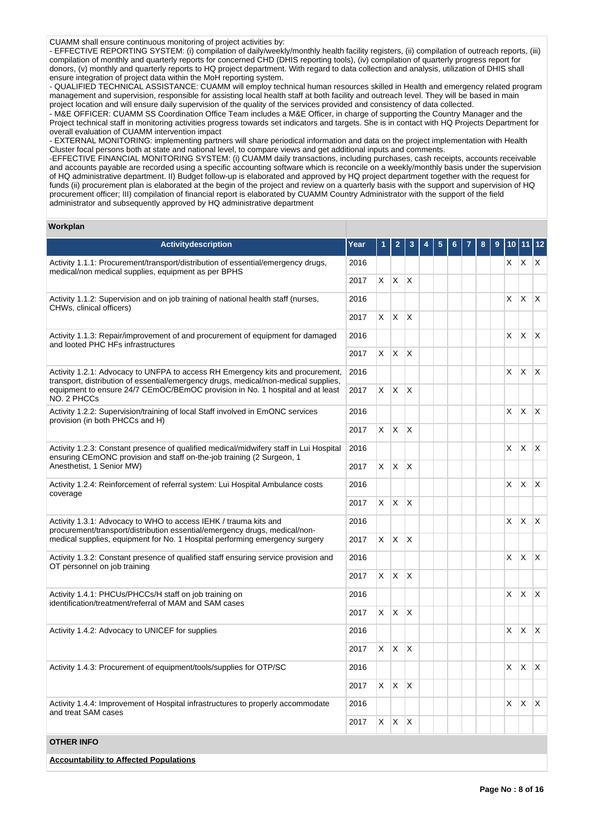CUAMM shall ensure continuous monitoring of project activities by:

- EFFECTIVE REPORTING SYSTEM: (i) compilation of daily/weekly/monthly health facility registers, (ii) compilation of outreach reports, (iii) compilation of monthly and quarterly reports for concerned CHD (DHIS reporting tools), (iv) compilation of quarterly progress report for donors, (v) monthly and quarterly reports to HQ project department. With regard to data collection and analysis, utilization of DHIS shall ensure integration of project data within the MoH reporting system.

- QUALIFIED TECHNICAL ASSISTANCE: CUAMM will employ technical human resources skilled in Health and emergency related program management and supervision, responsible for assisting local health staff at both facility and outreach level. They will be based in main project location and will ensure daily supervision of the quality of the services provided and consistency of data collected.

- M&E OFFICER: CUAMM SS Coordination Office Team includes a M&E Officer, in charge of supporting the Country Manager and the Project technical staff in monitoring activities progress towards set indicators and targets. She is in contact with HQ Projects Department for overall evaluation of CUAMM intervention impact

- EXTERNAL MONITORING: implementing partners will share periodical information and data on the project implementation with Health Cluster focal persons both at state and national level, to compare views and get additional inputs and comments.

-EFFECTIVE FINANCIAL MONITORING SYSTEM: (i) CUAMM daily transactions, including purchases, cash receipts, accounts receivable and accounts payable are recorded using a specific accounting software which is reconcile on a weekly/monthly basis under the supervision of HQ administrative department. II) Budget follow-up is elaborated and approved by HQ project department together with the request for funds (ii) procurement plan is elaborated at the begin of the project and review on a quarterly basis with the support and supervision of HQ procurement officer; III) compilation of financial report is elaborated by CUAMM Country Administrator with the support of the field administrator and subsequently approved by HQ administrative department

#### **Workplan**

| <b>Activitydescription</b>                                                                                                                                            | Year |    |              |              |  |  |  | 10 |                         | $\begin{array}{c} 12 \end{array}$ |
|-----------------------------------------------------------------------------------------------------------------------------------------------------------------------|------|----|--------------|--------------|--|--|--|----|-------------------------|-----------------------------------|
| Activity 1.1.1: Procurement/transport/distribution of essential/emergency drugs,<br>medical/non medical supplies, equipment as per BPHS                               | 2016 |    |              |              |  |  |  |    | $X$ $X$ $X$             |                                   |
|                                                                                                                                                                       | 2017 | X. | $X$ $X$      |              |  |  |  |    |                         |                                   |
| Activity 1.1.2: Supervision and on job training of national health staff (nurses,<br>CHWs, clinical officers)                                                         |      |    |              |              |  |  |  | X. | $\mathsf{X}$            | $\mathsf{X}$                      |
|                                                                                                                                                                       | 2017 | X. | $X$ $X$      |              |  |  |  |    |                         |                                   |
| Activity 1.1.3: Repair/improvement of and procurement of equipment for damaged<br>and looted PHC HFs infrastructures                                                  | 2016 |    |              |              |  |  |  | X  | ΙX.                     | $\mathsf{X}$                      |
|                                                                                                                                                                       | 2017 |    | $X$ $X$ $X$  |              |  |  |  |    |                         |                                   |
| Activity 1.2.1: Advocacy to UNFPA to access RH Emergency kits and procurement,<br>transport, distribution of essential/emergency drugs, medical/non-medical supplies, | 2016 |    |              |              |  |  |  | X  | $\mathsf{X}$            | $\mathsf{X}$                      |
| equipment to ensure 24/7 CEmOC/BEmOC provision in No. 1 hospital and at least<br>NO. 2 PHCCs                                                                          | 2017 |    | $X$ $X$ $X$  |              |  |  |  |    |                         |                                   |
| Activity 1.2.2: Supervision/training of local Staff involved in EmONC services<br>provision (in both PHCCs and H)                                                     | 2016 |    |              |              |  |  |  | X  | <b>X</b>                | $\mathsf{X}$                      |
|                                                                                                                                                                       | 2017 | X. | X            | $\mathsf{X}$ |  |  |  |    |                         |                                   |
| Activity 1.2.3: Constant presence of qualified medical/midwifery staff in Lui Hospital<br>ensuring CEmONC provision and staff on-the-job training (2 Surgeon, 1       | 2016 |    |              |              |  |  |  | X  | $\mathsf{X}$            | $\mathsf{X}$                      |
| Anesthetist, 1 Senior MW)                                                                                                                                             | 2017 | X. | X            | $\mathsf{X}$ |  |  |  |    |                         |                                   |
| Activity 1.2.4: Reinforcement of referral system: Lui Hospital Ambulance costs<br>coverage                                                                            | 2016 |    |              |              |  |  |  | X. | $\mathsf{X}$            | X                                 |
|                                                                                                                                                                       | 2017 |    | $X$ $X$ $X$  |              |  |  |  |    |                         |                                   |
| Activity 1.3.1: Advocacy to WHO to access IEHK / trauma kits and<br>procurement/transport/distribution essential/emergency drugs, medical/non-                        | 2016 |    |              |              |  |  |  | X. | $\mathsf{X} \mathsf{X}$ |                                   |
| medical supplies, equipment for No. 1 Hospital performing emergency surgery                                                                                           | 2017 | X. | X            | $\mathsf{X}$ |  |  |  |    |                         |                                   |
| Activity 1.3.2: Constant presence of qualified staff ensuring service provision and<br>OT personnel on job training                                                   | 2016 |    |              |              |  |  |  | X  | $\times$                | ΙX.                               |
|                                                                                                                                                                       | 2017 | X. | $\mathsf{X}$ | $\mathsf{X}$ |  |  |  |    |                         |                                   |
| Activity 1.4.1: PHCUs/PHCCs/H staff on job training on<br>identification/treatment/referral of MAM and SAM cases                                                      | 2016 |    |              |              |  |  |  | X  | $\mathsf{X}$            | $\mathsf{X}$                      |
|                                                                                                                                                                       | 2017 | X. | $X$ $X$      |              |  |  |  |    |                         |                                   |
| Activity 1.4.2: Advocacy to UNICEF for supplies                                                                                                                       | 2016 |    |              |              |  |  |  | X  | $\mathsf{X}$            | $\mathsf{X}$                      |
|                                                                                                                                                                       | 2017 |    | $X$ $X$ $X$  |              |  |  |  |    |                         |                                   |
| Activity 1.4.3: Procurement of equipment/tools/supplies for OTP/SC                                                                                                    | 2016 |    |              |              |  |  |  | X  | $\mathsf{X}$            | $\mathsf{X}$                      |
|                                                                                                                                                                       | 2017 |    | $X$ $X$ $X$  |              |  |  |  |    |                         |                                   |
| Activity 1.4.4: Improvement of Hospital infrastructures to properly accommodate<br>and treat SAM cases                                                                | 2016 |    |              |              |  |  |  | X. | $\mathsf{X}$            | $\mathsf{X}$                      |
|                                                                                                                                                                       |      | X  | $X$ $X$      |              |  |  |  |    |                         |                                   |
| <b>OTHER INFO</b>                                                                                                                                                     |      |    |              |              |  |  |  |    |                         |                                   |
| <b>Accountability to Affected Populations</b>                                                                                                                         |      |    |              |              |  |  |  |    |                         |                                   |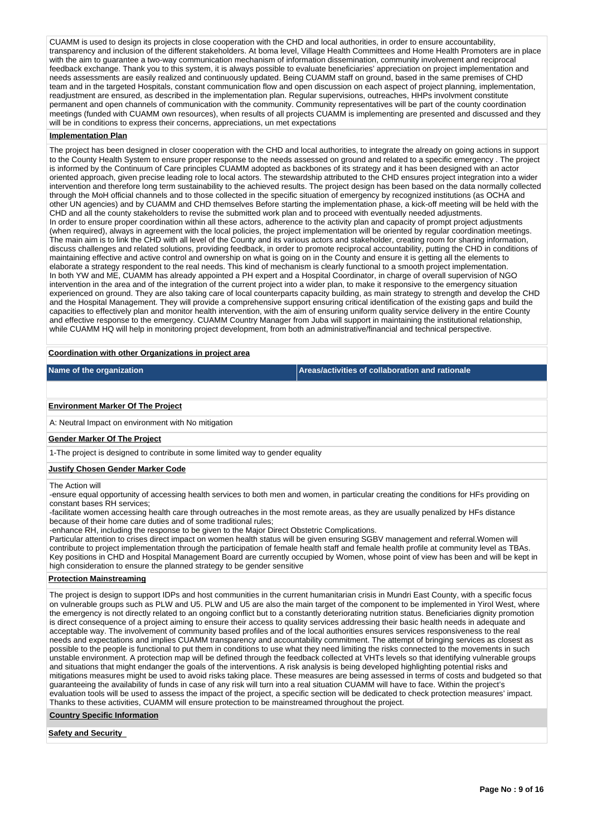CUAMM is used to design its projects in close cooperation with the CHD and local authorities, in order to ensure accountability, transparency and inclusion of the different stakeholders. At boma level, Village Health Committees and Home Health Promoters are in place with the aim to guarantee a two-way communication mechanism of information dissemination, community involvement and reciprocal feedback exchange. Thank you to this system, it is always possible to evaluate beneficiaries' appreciation on project implementation and needs assessments are easily realized and continuously updated. Being CUAMM staff on ground, based in the same premises of CHD team and in the targeted Hospitals, constant communication flow and open discussion on each aspect of project planning, implementation, readjustment are ensured, as described in the implementation plan. Regular supervisions, outreaches, HHPs involvment constitute permanent and open channels of communication with the community. Community representatives will be part of the county coordination meetings (funded with CUAMM own resources), when results of all projects CUAMM is implementing are presented and discussed and they will be in conditions to express their concerns, appreciations, un met expectations

#### **Implementation Plan**

The project has been designed in closer cooperation with the CHD and local authorities, to integrate the already on going actions in support to the County Health System to ensure proper response to the needs assessed on ground and related to a specific emergency . The project is informed by the Continuum of Care principles CUAMM adopted as backbones of its strategy and it has been designed with an actor oriented approach, given precise leading role to local actors. The stewardship attributed to the CHD ensures project integration into a wider intervention and therefore long term sustainability to the achieved results. The project design has been based on the data normally collected through the MoH official channels and to those collected in the specific situation of emergency by recognized institutions (as OCHA and other UN agencies) and by CUAMM and CHD themselves Before starting the implementation phase, a kick-off meeting will be held with the CHD and all the county stakeholders to revise the submitted work plan and to proceed with eventually needed adjustments. In order to ensure proper coordination within all these actors, adherence to the activity plan and capacity of prompt project adjustments (when required), always in agreement with the local policies, the project implementation will be oriented by regular coordination meetings. The main aim is to link the CHD with all level of the County and its various actors and stakeholder, creating room for sharing information, discuss challenges and related solutions, providing feedback, in order to promote reciprocal accountability, putting the CHD in conditions of maintaining effective and active control and ownership on what is going on in the County and ensure it is getting all the elements to elaborate a strategy respondent to the real needs. This kind of mechanism is clearly functional to a smooth project implementation. In both YW and ME, CUAMM has already appointed a PH expert and a Hospital Coordinator, in charge of overall supervision of NGO intervention in the area and of the integration of the current project into a wider plan, to make it responsive to the emergency situation experienced on ground. They are also taking care of local counterparts capacity building, as main strategy to strength and develop the CHD and the Hospital Management. They will provide a comprehensive support ensuring critical identification of the existing gaps and build the capacities to effectively plan and monitor health intervention, with the aim of ensuring uniform quality service delivery in the entire County and effective response to the emergency. CUAMM Country Manager from Juba will support in maintaining the institutional relationship, while CUAMM HQ will help in monitoring project development, from both an administrative/financial and technical perspective.

## **Coordination with other Organizations in project area**

**Name of the organization Areas/activities of collaboration and rationale** 

#### **Environment Marker Of The Project**

A: Neutral Impact on environment with No mitigation

### **Gender Marker Of The Project**

1-The project is designed to contribute in some limited way to gender equality

#### **Justify Chosen Gender Marker Code**

#### The Action will

-ensure equal opportunity of accessing health services to both men and women, in particular creating the conditions for HFs providing on constant bases RH services;

-facilitate women accessing health care through outreaches in the most remote areas, as they are usually penalized by HFs distance because of their home care duties and of some traditional rules;

-enhance RH, including the response to be given to the Major Direct Obstetric Complications.

Particular attention to crises direct impact on women health status will be given ensuring SGBV management and referral.Women will contribute to project implementation through the participation of female health staff and female health profile at community level as TBAs. Key positions in CHD and Hospital Management Board are currently occupied by Women, whose point of view has been and will be kept in high consideration to ensure the planned strategy to be gender sensitive

#### **Protection Mainstreaming**

The project is design to support IDPs and host communities in the current humanitarian crisis in Mundri East County, with a specific focus on vulnerable groups such as PLW and U5. PLW and U5 are also the main target of the component to be implemented in Yirol West, where the emergency is not directly related to an ongoing conflict but to a constantly deteriorating nutrition status. Beneficiaries dignity promotio is direct consequence of a project aiming to ensure their access to quality services addressing their basic health needs in adequate and acceptable way. The involvement of community based profiles and of the local authorities ensures services responsiveness to the real needs and expectations and implies CUAMM transparency and accountability commitment. The attempt of bringing services as closest as possible to the people is functional to put them in conditions to use what they need limiting the risks connected to the movements in such .<br>unstable environment. A protection map will be defined through the feedback collected at VHTs levels so that identifying vulnerable groups and situations that might endanger the goals of the interventions. A risk analysis is being developed highlighting potential risks and mitigations measures might be used to avoid risks taking place. These measures are being assessed in terms of costs and budgeted so that guaranteeing the availability of funds in case of any risk will turn into a real situation CUAMM will have to face. Within the project's evaluation tools will be used to assess the impact of the project, a specific section will be dedicated to check protection measures' impact. Thanks to these activities, CUAMM will ensure protection to be mainstreamed throughout the project.

**Country Specific Information**

**Safety and Security**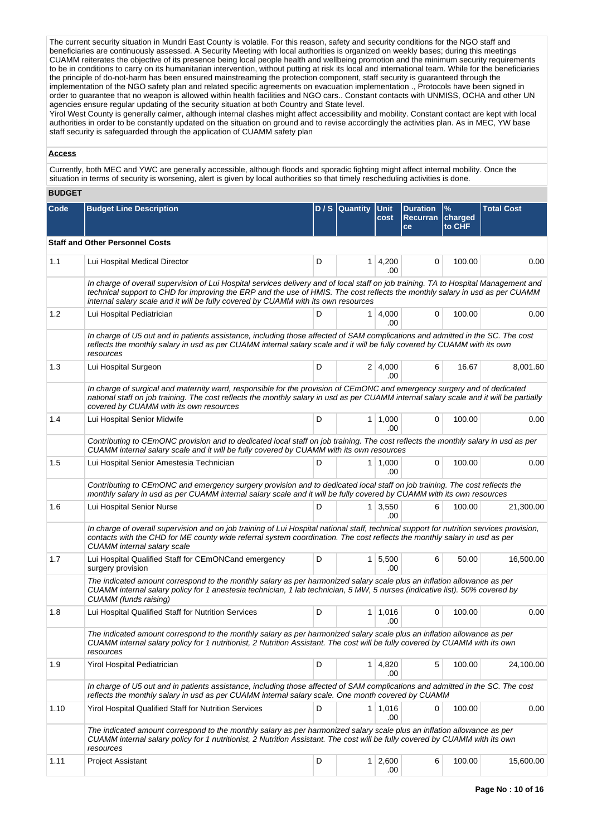The current security situation in Mundri East County is volatile. For this reason, safety and security conditions for the NGO staff and beneficiaries are continuously assessed. A Security Meeting with local authorities is organized on weekly bases; during this meetings CUAMM reiterates the objective of its presence being local people health and wellbeing promotion and the minimum security requirements to be in conditions to carry on its humanitarian intervention, without putting at risk its local and international team. While for the beneficiaries the principle of do-not-harm has been ensured mainstreaming the protection component, staff security is guaranteed through the implementation of the NGO safety plan and related specific agreements on evacuation implementation ., Protocols have been signed in order to guarantee that no weapon is allowed within health facilities and NGO cars.. Constant contacts with UNMISS, OCHA and other UN agencies ensure regular updating of the security situation at both Country and State level.

Yirol West County is generally calmer, although internal clashes might affect accessibility and mobility. Constant contact are kept with local authorities in order to be constantly updated on the situation on ground and to revise accordingly the activities plan. As in MEC, YW base staff security is safeguarded through the application of CUAMM safety plan

## **Access**

Currently, both MEC and YWC are generally accessible, although floods and sporadic fighting might affect internal mobility. Once the situation in terms of security is worsening, alert is given by local authorities so that timely rescheduling activities is done.

## **BUDGET**

| <b>Code</b> | <b>Budget Line Description</b>                                                                                                                                                                                                                                                                                                                             |   | D/S Quantity   | Unit<br>cost                | <b>Duration</b><br>Recurran charged<br>ce | $\frac{9}{6}$<br>to CHF | <b>Total Cost</b> |  |  |  |  |
|-------------|------------------------------------------------------------------------------------------------------------------------------------------------------------------------------------------------------------------------------------------------------------------------------------------------------------------------------------------------------------|---|----------------|-----------------------------|-------------------------------------------|-------------------------|-------------------|--|--|--|--|
|             | <b>Staff and Other Personnel Costs</b>                                                                                                                                                                                                                                                                                                                     |   |                |                             |                                           |                         |                   |  |  |  |  |
| 1.1         | Lui Hospital Medical Director                                                                                                                                                                                                                                                                                                                              | D |                | $1 \mid 4,200$<br>.00.      | 0                                         | 100.00                  | 0.00              |  |  |  |  |
|             | In charge of overall supervision of Lui Hospital services delivery and of local staff on job training. TA to Hospital Management and<br>technical support to CHD for improving the ERP and the use of HMIS. The cost reflects the monthly salary in usd as per CUAMM<br>internal salary scale and it will be fully covered by CUAMM with its own resources |   |                |                             |                                           |                         |                   |  |  |  |  |
| 1.2         | Lui Hospital Pediatrician                                                                                                                                                                                                                                                                                                                                  | D |                | $1 \, 4,000$<br>.00         | 0                                         | 100.00                  | 0.00              |  |  |  |  |
|             | In charge of U5 out and in patients assistance, including those affected of SAM complications and admitted in the SC. The cost<br>reflects the monthly salary in usd as per CUAMM internal salary scale and it will be fully covered by CUAMM with its own<br>resources                                                                                    |   |                |                             |                                           |                         |                   |  |  |  |  |
| 1.3         | Lui Hospital Surgeon                                                                                                                                                                                                                                                                                                                                       | D |                | 2 4,000 <br>.00             | 6                                         | 16.67                   | 8,001.60          |  |  |  |  |
|             | In charge of surgical and maternity ward, responsible for the provision of CEmONC and emergency surgery and of dedicated<br>national staff on job training. The cost reflects the monthly salary in usd as per CUAMM internal salary scale and it will be partially<br>covered by CUAMM with its own resources                                             |   |                |                             |                                           |                         |                   |  |  |  |  |
| 1.4         | Lui Hospital Senior Midwife                                                                                                                                                                                                                                                                                                                                | D |                | $1 \mid 1,000$<br>.00       | 0                                         | 100.00                  | 0.00              |  |  |  |  |
|             | Contributing to CEmONC provision and to dedicated local staff on job training. The cost reflects the monthly salary in usd as per<br>CUAMM internal salary scale and it will be fully covered by CUAMM with its own resources                                                                                                                              |   |                |                             |                                           |                         |                   |  |  |  |  |
| 1.5         | Lui Hospital Senior Amestesia Technician                                                                                                                                                                                                                                                                                                                   | D |                | $1 \mid 1,000$<br>.00       | 0                                         | 100.00                  | 0.00              |  |  |  |  |
|             | Contributing to CEmONC and emergency surgery provision and to dedicated local staff on job training. The cost reflects the<br>monthly salary in usd as per CUAMM internal salary scale and it will be fully covered by CUAMM with its own resources                                                                                                        |   |                |                             |                                           |                         |                   |  |  |  |  |
| 1.6         | Lui Hospital Senior Nurse                                                                                                                                                                                                                                                                                                                                  | D |                | $1 \mid 3,550$<br>.00       | 6                                         | 100.00                  | 21,300.00         |  |  |  |  |
|             | In charge of overall supervision and on job training of Lui Hospital national staff, technical support for nutrition services provision,<br>contacts with the CHD for ME county wide referral system coordination. The cost reflects the monthly salary in usd as per<br><b>CUAMM</b> internal salary scale                                                |   |                |                             |                                           |                         |                   |  |  |  |  |
| 1.7         | Lui Hospital Qualified Staff for CEmONCand emergency<br>surgery provision                                                                                                                                                                                                                                                                                  | D |                | $1 \overline{5,500}$<br>.00 | 6                                         | 50.00                   | 16,500.00         |  |  |  |  |
|             | The indicated amount correspond to the monthly salary as per harmonized salary scale plus an inflation allowance as per<br>CUAMM internal salary policy for 1 anestesia technician, 1 lab technician, 5 MW, 5 nurses (indicative list). 50% covered by<br>CUAMM (funds raising)                                                                            |   |                |                             |                                           |                         |                   |  |  |  |  |
| 1.8         | Lui Hospital Qualified Staff for Nutrition Services                                                                                                                                                                                                                                                                                                        | D |                | $1 \mid 1,016$<br>.00       | 0                                         | 100.00                  | 0.00              |  |  |  |  |
|             | The indicated amount correspond to the monthly salary as per harmonized salary scale plus an inflation allowance as per<br>CUAMM internal salary policy for 1 nutritionist, 2 Nutrition Assistant. The cost will be fully covered by CUAMM with its own<br>resources                                                                                       |   |                |                             |                                           |                         |                   |  |  |  |  |
| 1.9         | <b>Yirol Hospital Pediatrician</b>                                                                                                                                                                                                                                                                                                                         | D | 1 <sup>1</sup> | 4,820<br>.00                | 5                                         | 100.00                  | 24,100.00         |  |  |  |  |
|             | In charge of U5 out and in patients assistance, including those affected of SAM complications and admitted in the SC. The cost<br>reflects the monthly salary in usd as per CUAMM internal salary scale. One month covered by CUAMM                                                                                                                        |   |                |                             |                                           |                         |                   |  |  |  |  |
| 1.10        | Yirol Hospital Qualified Staff for Nutrition Services                                                                                                                                                                                                                                                                                                      | D |                | $1 \mid 1,016$<br>.00       | 0                                         | 100.00                  | 0.00              |  |  |  |  |
|             | The indicated amount correspond to the monthly salary as per harmonized salary scale plus an inflation allowance as per<br>CUAMM internal salary policy for 1 nutritionist, 2 Nutrition Assistant. The cost will be fully covered by CUAMM with its own<br>resources                                                                                       |   |                |                             |                                           |                         |                   |  |  |  |  |
| 1.11        | <b>Project Assistant</b>                                                                                                                                                                                                                                                                                                                                   | D |                | $1 \quad 2,600$<br>.00      | 6                                         | 100.00                  | 15,600.00         |  |  |  |  |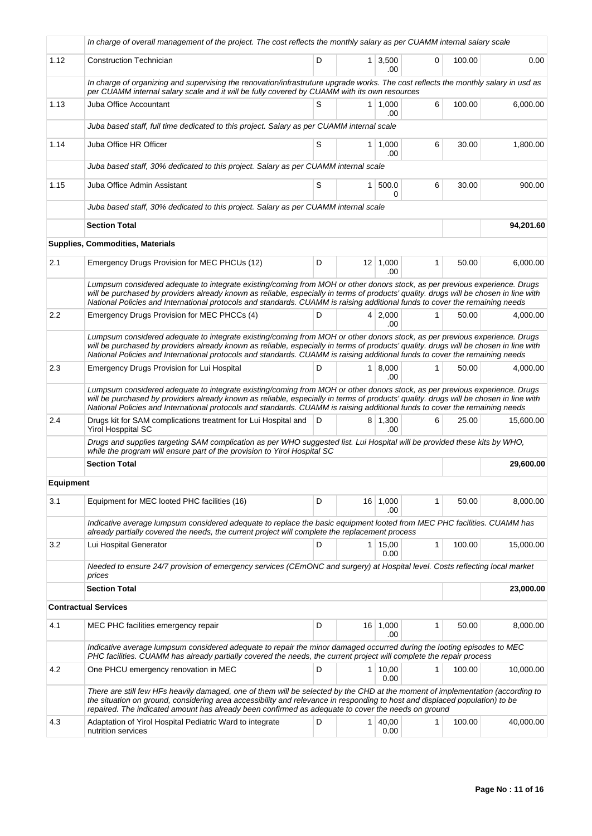|                  | In charge of overall management of the project. The cost reflects the monthly salary as per CUAMM internal salary scale                                                                                                                                                                                                                                                                            |   |                |                               |              |        |           |
|------------------|----------------------------------------------------------------------------------------------------------------------------------------------------------------------------------------------------------------------------------------------------------------------------------------------------------------------------------------------------------------------------------------------------|---|----------------|-------------------------------|--------------|--------|-----------|
| 1.12             | <b>Construction Technician</b>                                                                                                                                                                                                                                                                                                                                                                     | D |                | $1 \overline{)3,500}$<br>.00. | 0            | 100.00 | 0.00      |
|                  | In charge of organizing and supervising the renovation/infrastruture upgrade works. The cost reflects the monthly salary in usd as<br>per CUAMM internal salary scale and it will be fully covered by CUAMM with its own resources                                                                                                                                                                 |   |                |                               |              |        |           |
| 1.13             | Juba Office Accountant                                                                                                                                                                                                                                                                                                                                                                             | S |                | $1 \mid 1,000$<br>.00         | 6            | 100.00 | 6,000.00  |
|                  | Juba based staff, full time dedicated to this project. Salary as per CUAMM internal scale                                                                                                                                                                                                                                                                                                          |   |                |                               |              |        |           |
| 1.14             | Juba Office HR Officer                                                                                                                                                                                                                                                                                                                                                                             | S |                | $1 \mid 1,000$<br>.00         | 6            | 30.00  | 1,800.00  |
|                  | Juba based staff, 30% dedicated to this project. Salary as per CUAMM internal scale                                                                                                                                                                                                                                                                                                                |   |                |                               |              |        |           |
| 1.15             | Juba Office Admin Assistant                                                                                                                                                                                                                                                                                                                                                                        | S | 1 <sup>1</sup> | 500.0<br>0                    | 6            | 30.00  | 900.00    |
|                  | Juba based staff, 30% dedicated to this project. Salary as per CUAMM internal scale                                                                                                                                                                                                                                                                                                                |   |                |                               |              |        |           |
|                  | <b>Section Total</b>                                                                                                                                                                                                                                                                                                                                                                               |   |                |                               |              |        | 94,201.60 |
|                  | <b>Supplies, Commodities, Materials</b>                                                                                                                                                                                                                                                                                                                                                            |   |                |                               |              |        |           |
| 2.1              | Emergency Drugs Provision for MEC PHCUs (12)                                                                                                                                                                                                                                                                                                                                                       | D |                | $12 \mid 1,000$<br>.00        | 1            | 50.00  | 6,000.00  |
|                  | Lumpsum considered adequate to integrate existing/coming from MOH or other donors stock, as per previous experience. Drugs<br>will be purchased by providers already known as reliable, especially in terms of products' quality. drugs will be chosen in line with<br>National Policies and International protocols and standards. CUAMM is raising additional funds to cover the remaining needs |   |                |                               |              |        |           |
| 2.2              | Emergency Drugs Provision for MEC PHCCs (4)                                                                                                                                                                                                                                                                                                                                                        | D |                | $4 \mid 2,000$<br>.00         | 1            | 50.00  | 4,000.00  |
|                  | Lumpsum considered adequate to integrate existing/coming from MOH or other donors stock, as per previous experience. Drugs<br>will be purchased by providers already known as reliable, especially in terms of products' quality. drugs will be chosen in line with<br>National Policies and International protocols and standards. CUAMM is raising additional funds to cover the remaining needs |   |                |                               |              |        |           |
| 2.3              | Emergency Drugs Provision for Lui Hospital                                                                                                                                                                                                                                                                                                                                                         | D |                | 1   8,000<br>.00.             | 1            | 50.00  | 4,000.00  |
|                  | Lumpsum considered adequate to integrate existing/coming from MOH or other donors stock, as per previous experience. Drugs<br>will be purchased by providers already known as reliable, especially in terms of products' quality. drugs will be chosen in line with<br>National Policies and International protocols and standards. CUAMM is raising additional funds to cover the remaining needs |   |                |                               |              |        |           |
| 2.4              | Drugs kit for SAM complications treatment for Lui Hospital and<br><b>Yirol Hosppital SC</b>                                                                                                                                                                                                                                                                                                        | D |                | $8 \mid 1,300$<br>.00         | 6            | 25.00  | 15,600.00 |
|                  | Drugs and supplies targeting SAM complication as per WHO suggested list. Lui Hospital will be provided these kits by WHO,<br>while the program will ensure part of the provision to Yirol Hospital SC                                                                                                                                                                                              |   |                |                               |              |        |           |
|                  | <b>Section Total</b>                                                                                                                                                                                                                                                                                                                                                                               |   |                |                               |              |        | 29,600.00 |
| <b>Equipment</b> |                                                                                                                                                                                                                                                                                                                                                                                                    |   |                |                               |              |        |           |
| 3.1              | Equipment for MEC looted PHC facilities (16)                                                                                                                                                                                                                                                                                                                                                       | D |                | 16 1,000<br>.00               | 1            | 50.00  | 8,000.00  |
|                  | Indicative average lumpsum considered adequate to replace the basic equipment looted from MEC PHC facilities. CUAMM has<br>already partially covered the needs, the current project will complete the replacement process                                                                                                                                                                          |   |                |                               |              |        |           |
| 3.2              | Lui Hospital Generator                                                                                                                                                                                                                                                                                                                                                                             | D |                | 1 15,00<br>0.00               | 1            | 100.00 | 15,000.00 |
|                  | Needed to ensure 24/7 provision of emergency services (CEmONC and surgery) at Hospital level. Costs reflecting local market<br>prices                                                                                                                                                                                                                                                              |   |                |                               |              |        |           |
|                  | <b>Section Total</b>                                                                                                                                                                                                                                                                                                                                                                               |   |                |                               |              |        | 23,000.00 |
|                  | <b>Contractual Services</b>                                                                                                                                                                                                                                                                                                                                                                        |   |                |                               |              |        |           |
| 4.1              | MEC PHC facilities emergency repair                                                                                                                                                                                                                                                                                                                                                                | D |                | 16 1,000<br>.00               | 1            | 50.00  | 8,000.00  |
|                  | Indicative average lumpsum considered adequate to repair the minor damaged occurred during the looting episodes to MEC<br>PHC facilities. CUAMM has already partially covered the needs, the current project will complete the repair process                                                                                                                                                      |   |                |                               |              |        |           |
| 4.2              | One PHCU emergency renovation in MEC                                                                                                                                                                                                                                                                                                                                                               | D |                | 1   10,00<br>0.00             | $\mathbf{1}$ | 100.00 | 10,000.00 |
|                  | There are still few HFs heavily damaged, one of them will be selected by the CHD at the moment of implementation (according to<br>the situation on ground, considering area accessibility and relevance in responding to host and displaced population) to be<br>repaired. The indicated amount has already been confirmed as adequate to cover the needs on ground                                |   |                |                               |              |        |           |
| 4.3              | Adaptation of Yirol Hospital Pediatric Ward to integrate<br>nutrition services                                                                                                                                                                                                                                                                                                                     | D |                | 1   40,00<br>0.00             | 1            | 100.00 | 40,000.00 |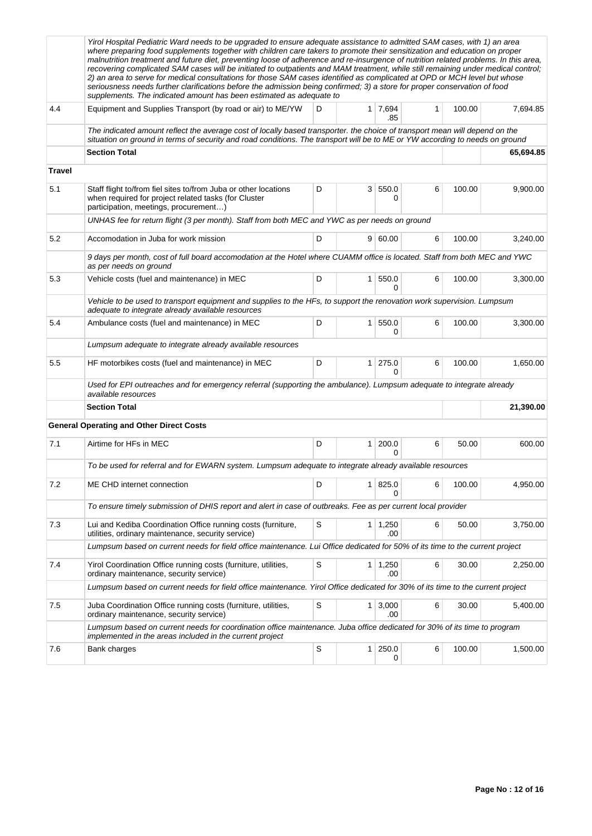|               | Yirol Hospital Pediatric Ward needs to be upgraded to ensure adequate assistance to admitted SAM cases, with 1) an area<br>where preparing food supplements together with children care takers to promote their sensitization and education on proper<br>malnutrition treatment and future diet, preventing loose of adherence and re-insurgence of nutrition related problems. In this area,<br>recovering complicated SAM cases will be initiated to outpatients and MAM treatment, while still remaining under medical control;<br>2) an area to serve for medical consultations for those SAM cases identified as complicated at OPD or MCH level but whose<br>seriousness needs further clarifications before the admission being confirmed; 3) a store for proper conservation of food<br>supplements. The indicated amount has been estimated as adequate to |        |                |                        |   |        |           |  |  |
|---------------|---------------------------------------------------------------------------------------------------------------------------------------------------------------------------------------------------------------------------------------------------------------------------------------------------------------------------------------------------------------------------------------------------------------------------------------------------------------------------------------------------------------------------------------------------------------------------------------------------------------------------------------------------------------------------------------------------------------------------------------------------------------------------------------------------------------------------------------------------------------------|--------|----------------|------------------------|---|--------|-----------|--|--|
| 4.4           | Equipment and Supplies Transport (by road or air) to ME/YW                                                                                                                                                                                                                                                                                                                                                                                                                                                                                                                                                                                                                                                                                                                                                                                                          | 100.00 | 7,694.85       |                        |   |        |           |  |  |
|               | The indicated amount reflect the average cost of locally based transporter. the choice of transport mean will depend on the<br>situation on ground in terms of security and road conditions. The transport will be to ME or YW according to needs on ground                                                                                                                                                                                                                                                                                                                                                                                                                                                                                                                                                                                                         |        |                |                        |   |        |           |  |  |
|               | <b>Section Total</b>                                                                                                                                                                                                                                                                                                                                                                                                                                                                                                                                                                                                                                                                                                                                                                                                                                                |        |                |                        |   |        | 65,694.85 |  |  |
| <b>Travel</b> |                                                                                                                                                                                                                                                                                                                                                                                                                                                                                                                                                                                                                                                                                                                                                                                                                                                                     |        |                |                        |   |        |           |  |  |
| 5.1           | Staff flight to/from fiel sites to/from Juba or other locations<br>when required for project related tasks (for Cluster<br>participation, meetings, procurement)                                                                                                                                                                                                                                                                                                                                                                                                                                                                                                                                                                                                                                                                                                    | D      | 3 <sup>1</sup> | 550.0<br>0             | 6 | 100.00 | 9,900.00  |  |  |
|               | UNHAS fee for return flight (3 per month). Staff from both MEC and YWC as per needs on ground                                                                                                                                                                                                                                                                                                                                                                                                                                                                                                                                                                                                                                                                                                                                                                       |        |                |                        |   |        |           |  |  |
| 5.2           | Accomodation in Juba for work mission                                                                                                                                                                                                                                                                                                                                                                                                                                                                                                                                                                                                                                                                                                                                                                                                                               | D      |                | 9   60.00              | 6 | 100.00 | 3,240.00  |  |  |
|               | 9 days per month, cost of full board accomodation at the Hotel where CUAMM office is located. Staff from both MEC and YWC<br>as per needs on ground                                                                                                                                                                                                                                                                                                                                                                                                                                                                                                                                                                                                                                                                                                                 |        |                |                        |   |        |           |  |  |
| 5.3           | Vehicle costs (fuel and maintenance) in MEC                                                                                                                                                                                                                                                                                                                                                                                                                                                                                                                                                                                                                                                                                                                                                                                                                         | D      |                | 1   550.0<br>0         | 6 | 100.00 | 3,300.00  |  |  |
|               | Vehicle to be used to transport equipment and supplies to the HFs, to support the renovation work supervision. Lumpsum<br>adequate to integrate already available resources                                                                                                                                                                                                                                                                                                                                                                                                                                                                                                                                                                                                                                                                                         |        |                |                        |   |        |           |  |  |
| 5.4           | Ambulance costs (fuel and maintenance) in MEC                                                                                                                                                                                                                                                                                                                                                                                                                                                                                                                                                                                                                                                                                                                                                                                                                       | D      | 1 <sup>1</sup> | 550.0<br>0             | 6 | 100.00 | 3,300.00  |  |  |
|               | Lumpsum adequate to integrate already available resources                                                                                                                                                                                                                                                                                                                                                                                                                                                                                                                                                                                                                                                                                                                                                                                                           |        |                |                        |   |        |           |  |  |
| 5.5           | HF motorbikes costs (fuel and maintenance) in MEC                                                                                                                                                                                                                                                                                                                                                                                                                                                                                                                                                                                                                                                                                                                                                                                                                   | D      |                | 1   275.0<br>0         | 6 | 100.00 | 1,650.00  |  |  |
|               | Used for EPI outreaches and for emergency referral (supporting the ambulance). Lumpsum adequate to integrate already<br>available resources                                                                                                                                                                                                                                                                                                                                                                                                                                                                                                                                                                                                                                                                                                                         |        |                |                        |   |        |           |  |  |
|               | <b>Section Total</b>                                                                                                                                                                                                                                                                                                                                                                                                                                                                                                                                                                                                                                                                                                                                                                                                                                                |        |                |                        |   |        |           |  |  |
|               | <b>General Operating and Other Direct Costs</b>                                                                                                                                                                                                                                                                                                                                                                                                                                                                                                                                                                                                                                                                                                                                                                                                                     |        |                |                        |   |        |           |  |  |
| 7.1           | Airtime for HFs in MEC                                                                                                                                                                                                                                                                                                                                                                                                                                                                                                                                                                                                                                                                                                                                                                                                                                              | D      | 1 <sup>1</sup> | 200.0<br>0             | 6 | 50.00  | 600.00    |  |  |
|               | To be used for referral and for EWARN system. Lumpsum adequate to integrate already available resources                                                                                                                                                                                                                                                                                                                                                                                                                                                                                                                                                                                                                                                                                                                                                             |        |                |                        |   |        |           |  |  |
| 7.2           | ME CHD internet connection                                                                                                                                                                                                                                                                                                                                                                                                                                                                                                                                                                                                                                                                                                                                                                                                                                          | D      | 1              | 825.0<br>0             | 6 | 100.00 | 4,950.00  |  |  |
|               | To ensure timely submission of DHIS report and alert in case of outbreaks. Fee as per current local provider                                                                                                                                                                                                                                                                                                                                                                                                                                                                                                                                                                                                                                                                                                                                                        |        |                |                        |   |        |           |  |  |
| 7.3           | Lui and Kediba Coordination Office running costs (furniture,<br>utilities, ordinary maintenance, security service)                                                                                                                                                                                                                                                                                                                                                                                                                                                                                                                                                                                                                                                                                                                                                  | S      |                | $1 \mid 1,250$<br>.00  | 6 | 50.00  | 3,750.00  |  |  |
|               | Lumpsum based on current needs for field office maintenance. Lui Office dedicated for 50% of its time to the current project                                                                                                                                                                                                                                                                                                                                                                                                                                                                                                                                                                                                                                                                                                                                        |        |                |                        |   |        |           |  |  |
| 7.4           | Yirol Coordination Office running costs (furniture, utilities,<br>ordinary maintenance, security service)                                                                                                                                                                                                                                                                                                                                                                                                                                                                                                                                                                                                                                                                                                                                                           | S      |                | $1 \mid 1,250$<br>.00  | 6 | 30.00  | 2,250.00  |  |  |
|               | Lumpsum based on current needs for field office maintenance. Yirol Office dedicated for 30% of its time to the current project                                                                                                                                                                                                                                                                                                                                                                                                                                                                                                                                                                                                                                                                                                                                      |        |                |                        |   |        |           |  |  |
| 7.5           | Juba Coordination Office running costs (furniture, utilities,<br>ordinary maintenance, security service)                                                                                                                                                                                                                                                                                                                                                                                                                                                                                                                                                                                                                                                                                                                                                            | S      | 1 <sup>1</sup> | 3,000<br>.00           | 6 | 30.00  | 5,400.00  |  |  |
|               | Lumpsum based on current needs for coordination office maintenance. Juba office dedicated for 30% of its time to program<br>implemented in the areas included in the current project                                                                                                                                                                                                                                                                                                                                                                                                                                                                                                                                                                                                                                                                                |        |                |                        |   |        |           |  |  |
| 7.6           | Bank charges                                                                                                                                                                                                                                                                                                                                                                                                                                                                                                                                                                                                                                                                                                                                                                                                                                                        | S      |                | $1 \,   \, 250.0$<br>0 | 6 | 100.00 | 1,500.00  |  |  |